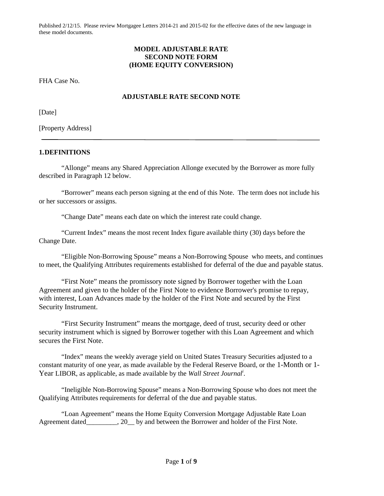### **MODEL ADJUSTABLE RATE SECOND NOTE FORM (HOME EQUITY CONVERSION)**

FHA Case No.

## **ADJUSTABLE RATE SECOND NOTE**

[Date]

[Property Address]

#### **1.DEFINITIONS**

"Allonge" means any Shared Appreciation Allonge executed by the Borrower as more fully described in Paragraph 12 below.

"Borrower" means each person signing at the end of this Note. The term does not include his or her successors or assigns.

"Change Date" means each date on which the interest rate could change.

"Current Index" means the most recent Index figure available thirty (30) days before the Change Date.

"Eligible Non-Borrowing Spouse" means a Non-Borrowing Spouse who meets, and continues to meet, the Qualifying Attributes requirements established for deferral of the due and payable status.

"First Note" means the promissory note signed by Borrower together with the Loan Agreement and given to the holder of the First Note to evidence Borrower's promise to repay, with interest, Loan Advances made by the holder of the First Note and secured by the First Security Instrument.

"First Security Instrument" means the mortgage, deed of trust, security deed or other security instrument which is signed by Borrower together with this Loan Agreement and which secures the First Note.

"Index" means the weekly average yield on United States Treasury Securities adjusted to a constant maturity of one year, as made available by the Federal Reserve Board, or the 1-Month or 1- Year LIBOR, as applicable, as made available by the *Wall Street Journal<sup>i</sup>* .

"Ineligible Non-Borrowing Spouse" means a Non-Borrowing Spouse who does not meet the Qualifying Attributes requirements for deferral of the due and payable status.

"Loan Agreement" means the Home Equity Conversion Mortgage Adjustable Rate Loan Agreement dated\_\_\_\_\_\_\_\_\_, 20\_\_ by and between the Borrower and holder of the First Note.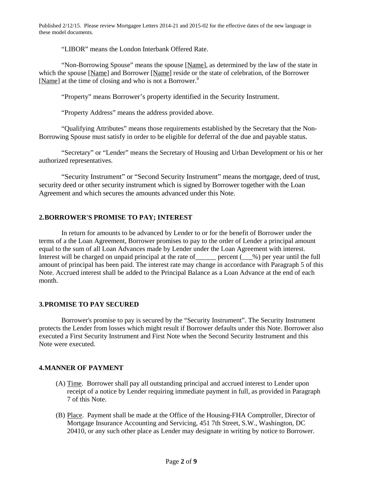"LIBOR" means the London Interbank Offered Rate.

"Non-Borrowing Spouse" means the spouse [Name], as determined by the law of the state in which the spouse [Name] and Borrower [Name] reside or the state of celebration, of the Borrower [Name] at the time of closing and who is not a Borrower.<sup>ii</sup>

"Property" means Borrower's property identified in the Security Instrument.

"Property Address" means the address provided above.

"Qualifying Attributes" means those requirements established by the Secretary that the Non-Borrowing Spouse must satisfy in order to be eligible for deferral of the due and payable status.

"Secretary" or "Lender" means the Secretary of Housing and Urban Development or his or her authorized representatives.

"Security Instrument" or "Second Security Instrument" means the mortgage, deed of trust, security deed or other security instrument which is signed by Borrower together with the Loan Agreement and which secures the amounts advanced under this Note.

# **2.BORROWER'S PROMISE TO PAY; INTEREST**

In return for amounts to be advanced by Lender to or for the benefit of Borrower under the terms of a the Loan Agreement, Borrower promises to pay to the order of Lender a principal amount equal to the sum of all Loan Advances made by Lender under the Loan Agreement with interest. Interest will be charged on unpaid principal at the rate of  $\qquad$  percent ( $\qquad$ %) per year until the full amount of principal has been paid. The interest rate may change in accordance with Paragraph 5 of this Note. Accrued interest shall be added to the Principal Balance as a Loan Advance at the end of each month.

# **3.PROMISE TO PAY SECURED**

Borrower's promise to pay is secured by the "Security Instrument". The Security Instrument protects the Lender from losses which might result if Borrower defaults under this Note. Borrower also executed a First Security Instrument and First Note when the Second Security Instrument and this Note were executed.

### **4.MANNER OF PAYMENT**

- (A) Time. Borrower shall pay all outstanding principal and accrued interest to Lender upon receipt of a notice by Lender requiring immediate payment in full, as provided in Paragraph 7 of this Note.
- (B) Place. Payment shall be made at the Office of the Housing-FHA Comptroller, Director of Mortgage Insurance Accounting and Servicing, 451 7th Street, S.W., Washington, DC 20410, or any such other place as Lender may designate in writing by notice to Borrower.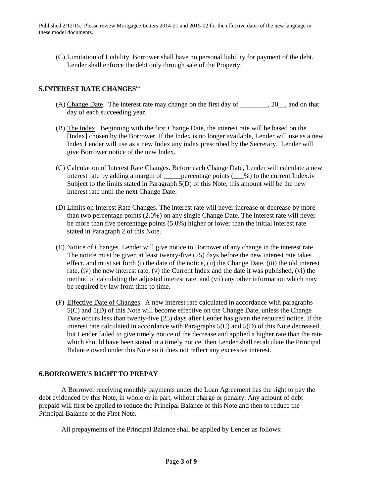(C) Limitation of Liability. Borrower shall have no personal liability for payment of the debt. Lender shall enforce the debt only through sale of the Property.

## **5.INTEREST RATE CHANGESiii**

- (A) Change Date. The interest rate may change on the first day of  $\qquad \qquad .20$ , and on that day of each succeeding year.
- (B) The Index. Beginning with the first Change Date, the interest rate will be based on the [Index] chosen by the Borrower. If the Index is no longer available, Lender will use as a new Index Lender will use as a new Index any index prescribed by the Secretary. Lender will give Borrower notice of the new Index.
- (C) Calculation of Interest Rate Changes. Before each Change Date, Lender will calculate a new interest rate by adding a margin of \_\_\_\_\_percentage points (\_\_\_%) to the current Index.iv Subject to the limits stated in Paragraph 5(D) of this Note, this amount will be the new interest rate until the next Change Date.
- (D) Limits on Interest Rate Changes. The interest rate will never increase or decrease by more than two percentage points (2.0%) on any single Change Date. The interest rate will never be more than five percentage points (5.0%) higher or lower than the initial interest rate stated in Paragraph 2 of this Note.
- (E) Notice of Changes. Lender will give notice to Borrower of any change in the interest rate. The notice must be given at least twenty-five (25) days before the new interest rate takes effect, and must set forth (i) the date of the notice, (ii) the Change Date, (iii) the old interest rate, (iv) the new interest rate, (v) the Current Index and the date it was published, (vi) the method of calculating the adjusted interest rate, and (vii) any other information which may be required by law from time to time.
- (F) Effective Date of Changes. A new interest rate calculated in accordance with paragraphs 5(C) and 5(D) of this Note will become effective on the Change Date, unless the Change Date occurs less than twenty-five (25) days after Lender has given the required notice. If the interest rate calculated in accordance with Paragraphs 5(C) and 5(D) of this Note decreased, but Lender failed to give timely notice of the decrease and applied a higher rate than the rate which should have been stated in a timely notice, then Lender shall recalculate the Principal Balance owed under this Note so it does not reflect any excessive interest.

### **6.BORROWER'S RIGHT TO PREPAY**

A Borrower receiving monthly payments under the Loan Agreement has the right to pay the debt evidenced by this Note, in whole or in part, without charge or penalty. Any amount of debt prepaid will first be applied to reduce the Principal Balance of this Note and then to reduce the Principal Balance of the First Note.

All prepayments of the Principal Balance shall be applied by Lender as follows: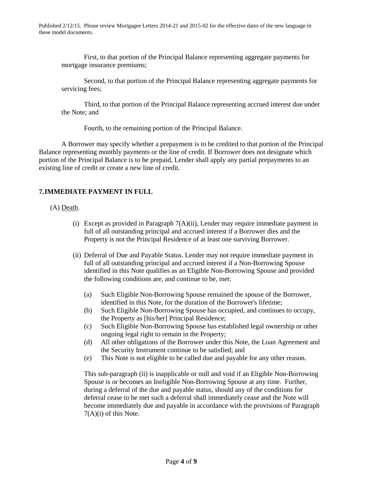First, to that portion of the Principal Balance representing aggregate payments for mortgage insurance premiums;

Second, to that portion of the Principal Balance representing aggregate payments for servicing fees;

Third, to that portion of the Principal Balance representing accrued interest due under the Note; and

Fourth, to the remaining portion of the Principal Balance.

A Borrower may specify whether a prepayment is to be credited to that portion of the Principal Balance representing monthly payments or the line of credit. If Borrower does not designate which portion of the Principal Balance is to be prepaid, Lender shall apply any partial prepayments to an existing line of credit or create a new line of credit.

# **7.IMMEDIATE PAYMENT IN FULL**

### (A) Death.

- (i) Except as provided in Paragraph  $7(A)(ii)$ , Lender may require immediate payment in full of all outstanding principal and accrued interest if a Borrower dies and the Property is not the Principal Residence of at least one surviving Borrower.
- (ii) Deferral of Due and Payable Status. Lender may not require immediate payment in full of all outstanding principal and accrued interest if a Non-Borrowing Spouse identified in this Note qualifies as an Eligible Non-Borrowing Spouse and provided the following conditions are, and continue to be, met:
	- (a) Such Eligible Non-Borrowing Spouse remained the spouse of the Borrower, identified in this Note, for the duration of the Borrower's lifetime;
	- (b) Such Eligible Non-Borrowing Spouse has occupied, and continues to occupy, the Property as [his/her] Principal Residence;
	- (c) Such Eligible Non-Borrowing Spouse has established legal ownership or other ongoing legal right to remain in the Property;
	- (d) All other obligations of the Borrower under this Note, the Loan Agreement and the Security Instrument continue to be satisfied; and
	- (e) This Note is not eligible to be called due and payable for any other reason.

This sub-paragraph (ii) is inapplicable or null and void if an Eligible Non-Borrowing Spouse is or becomes an Ineligible Non-Borrowing Spouse at any time. Further, during a deferral of the due and payable status, should any of the conditions for deferral cease to be met such a deferral shall immediately cease and the Note will become immediately due and payable in accordance with the provisions of Paragraph 7(A)(i) of this Note.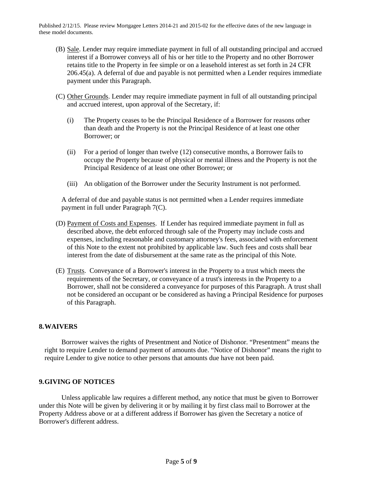- (B) Sale. Lender may require immediate payment in full of all outstanding principal and accrued interest if a Borrower conveys all of his or her title to the Property and no other Borrower retains title to the Property in fee simple or on a leasehold interest as set forth in 24 CFR 206.45(a). A deferral of due and payable is not permitted when a Lender requires immediate payment under this Paragraph.
- (C) Other Grounds. Lender may require immediate payment in full of all outstanding principal and accrued interest, upon approval of the Secretary, if:
	- (i) The Property ceases to be the Principal Residence of a Borrower for reasons other than death and the Property is not the Principal Residence of at least one other Borrower; or
	- (ii) For a period of longer than twelve (12) consecutive months, a Borrower fails to occupy the Property because of physical or mental illness and the Property is not the Principal Residence of at least one other Borrower; or
	- (iii) An obligation of the Borrower under the Security Instrument is not performed.

A deferral of due and payable status is not permitted when a Lender requires immediate payment in full under Paragraph 7(C).

- (D) Payment of Costs and Expenses. If Lender has required immediate payment in full as described above, the debt enforced through sale of the Property may include costs and expenses, including reasonable and customary attorney's fees, associated with enforcement of this Note to the extent not prohibited by applicable law. Such fees and costs shall bear interest from the date of disbursement at the same rate as the principal of this Note.
- (E) Trusts. Conveyance of a Borrower's interest in the Property to a trust which meets the requirements of the Secretary, or conveyance of a trust's interests in the Property to a Borrower, shall not be considered a conveyance for purposes of this Paragraph. A trust shall not be considered an occupant or be considered as having a Principal Residence for purposes of this Paragraph.

### **8.WAIVERS**

Borrower waives the rights of Presentment and Notice of Dishonor. "Presentment" means the right to require Lender to demand payment of amounts due. "Notice of Dishonor" means the right to require Lender to give notice to other persons that amounts due have not been paid.

### **9.GIVING OF NOTICES**

Unless applicable law requires a different method, any notice that must be given to Borrower under this Note will be given by delivering it or by mailing it by first class mail to Borrower at the Property Address above or at a different address if Borrower has given the Secretary a notice of Borrower's different address.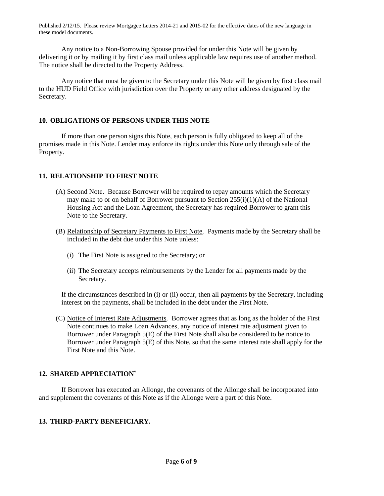Any notice to a Non-Borrowing Spouse provided for under this Note will be given by delivering it or by mailing it by first class mail unless applicable law requires use of another method. The notice shall be directed to the Property Address.

Any notice that must be given to the Secretary under this Note will be given by first class mail to the HUD Field Office with jurisdiction over the Property or any other address designated by the Secretary.

# **10. OBLIGATIONS OF PERSONS UNDER THIS NOTE**

If more than one person signs this Note, each person is fully obligated to keep all of the promises made in this Note. Lender may enforce its rights under this Note only through sale of the Property.

# **11. RELATIONSHIP TO FIRST NOTE**

- (A) Second Note. Because Borrower will be required to repay amounts which the Secretary may make to or on behalf of Borrower pursuant to Section  $255(i)(1)(A)$  of the National Housing Act and the Loan Agreement, the Secretary has required Borrower to grant this Note to the Secretary.
- (B) Relationship of Secretary Payments to First Note. Payments made by the Secretary shall be included in the debt due under this Note unless:
	- (i) The First Note is assigned to the Secretary; or
	- (ii) The Secretary accepts reimbursements by the Lender for all payments made by the Secretary.

If the circumstances described in (i) or (ii) occur, then all payments by the Secretary, including interest on the payments, shall be included in the debt under the First Note.

(C) Notice of Interest Rate Adjustments. Borrower agrees that as long as the holder of the First Note continues to make Loan Advances, any notice of interest rate adjustment given to Borrower under Paragraph 5(E) of the First Note shall also be considered to be notice to Borrower under Paragraph 5(E) of this Note, so that the same interest rate shall apply for the First Note and this Note.

# **12. SHARED APPRECIATION**<sup>v</sup>

If Borrower has executed an Allonge, the covenants of the Allonge shall be incorporated into and supplement the covenants of this Note as if the Allonge were a part of this Note.

# **13. THIRD-PARTY BENEFICIARY.**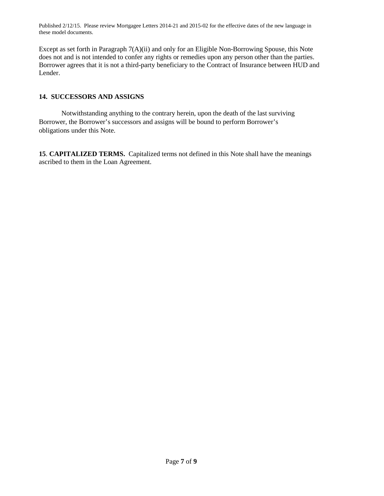Except as set forth in Paragraph 7(A)(ii) and only for an Eligible Non-Borrowing Spouse, this Note does not and is not intended to confer any rights or remedies upon any person other than the parties. Borrower agrees that it is not a third-party beneficiary to the Contract of Insurance between HUD and Lender.

# **14. SUCCESSORS AND ASSIGNS**

Notwithstanding anything to the contrary herein, upon the death of the last surviving Borrower, the Borrower's successors and assigns will be bound to perform Borrower's obligations under this Note.

**15**. **CAPITALIZED TERMS.** Capitalized terms not defined in this Note shall have the meanings ascribed to them in the Loan Agreement.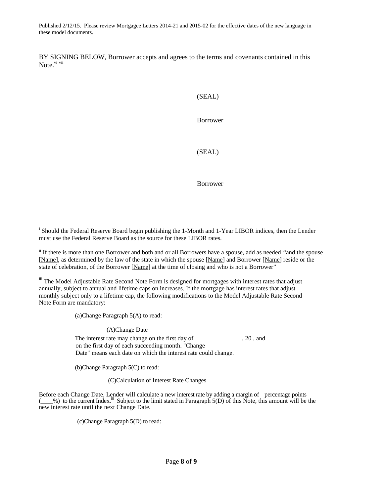BY SIGNING BELOW, Borrower accepts and agrees to the terms and covenants contained in this Note.<sup>vi vii</sup>

(SEAL)

Borrower

(SEAL)

Borrower

iii The Model Adjustable Rate Second Note Form is designed for mortgages with interest rates that adjust annually, subject to annual and lifetime caps on increases. If the mortgage has interest rates that adjust monthly subject only to a lifetime cap, the following modifications to the Model Adjustable Rate Second Note Form are mandatory:

(a)Change Paragraph 5(A) to read:

(A)Change Date

The interest rate may change on the first day of , 20, and on the first day of each succeeding month. "Change Date" means each date on which the interest rate could change.

(b)Change Paragraph 5(C) to read:

(C)Calculation of Interest Rate Changes

Before each Change Date, Lender will calculate a new interest rate by adding a margin of percentage points  $\leq$ %) to the current Index.<sup>iii</sup> Subject to the limit stated in Paragraph 5(D) of this Note, this amount will be the new interest rate until the next Change Date.

(c)Change Paragraph 5(D) to read:

<sup>&</sup>lt;sup>i</sup> Should the Federal Reserve Board begin publishing the 1-Month and 1-Year LIBOR indices, then the Lender must use the Federal Reserve Board as the source for these LIBOR rates.

ii If there is more than one Borrower and both and or all Borrowers have a spouse, add as needed *"*and the spouse [Name], as determined by the law of the state in which the spouse [Name] and Borrower [Name] reside or the state of celebration, of the Borrower [Name] at the time of closing and who is not a Borrower"